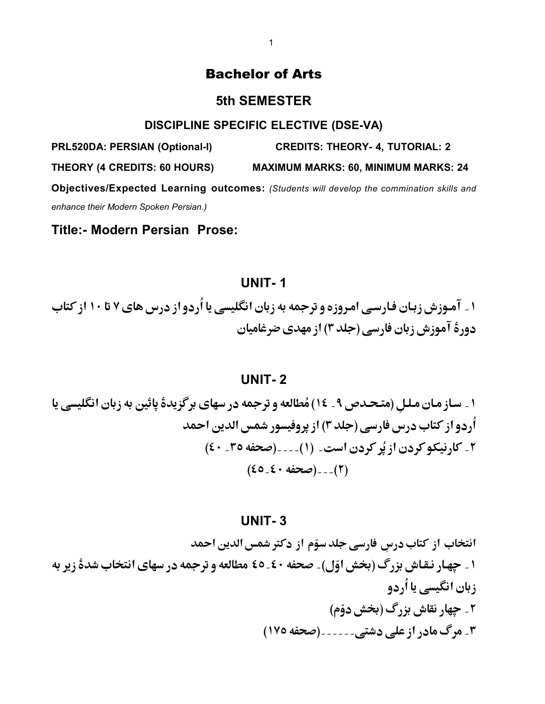# Bachelor of Arts

### **5th SEMESTER**

#### **DISCIPLINE SPECIFIC ELECTIVE (DSE-VA)**

**PRL520DA: PERSIAN (Optional-I) CREDITS: THEORY- 4, TUTORIAL: 2**

**THEORY (4 CREDITS: 60 HOURS) MAXIMUM MARKS: 60, MINIMUM MARKS: 24** 

**Objectives/Expected Learning outcomes:** *(Students will develop the commination skills and enhance their Modern Spoken Persian.)* 

**Title:- Modern Persian Prose:**

# **UNIT- 1**

۱ \_ آمـوزش زبـان فـارسـي امـروزه و ترجمه به زبان انگليسي يا اُردو از درس هاي ۷ تا ۱۰ از کتاب دورةَ آموزش زبان فارسي (جلد ٣) از مهدي ضرغاميان

#### **UNIT- 2**

۱ \_ سـاز مـان مـلـلِ (متـحـدص ۹ \_ ١٤) مُطالعه و ترجمه در سهاى برگزيدة پائين به زبان انگليسى يا اُردو از کتاب درس فارسی (جلد ۳) از پروفیسور شمس الدین احمد ٢ - كارنيكوكردن از يُركردن است ـ (١) - - - (صحفه ٣٥ ـ ٤٠)  $(20.5 \cdot 40)$ --(٢)

#### **UNIT- 3**

انتخاب از کتاب درسِ فارسی جلدسوّم از دکترشمس الدین احمد ۱ \_ چهار نـقـاش بزرگ (بخش اوّل) \_ صحفه ٤٠ ـ ٤٥ مطالعه و ترجمه در سهاى انتخاب شدة زير به زبان انگیسی یا اُردو ۲ ۔ چهار نقاش بزرگ (بخش دوّم) ۳۔ مرگ مادر از علی دشتی۔۔۔۔۔۔ (صحفه ۱۷۵)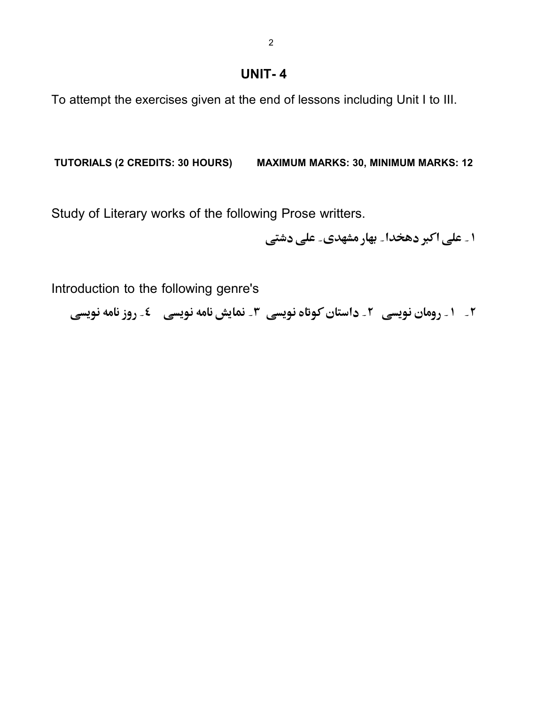**UNIT- 4**

To attempt the exercises given at the end of lessons including Unit I to III.

**TUTORIALS (2 CREDITS: 30 HOURS) MAXIMUM MARKS: 30, MINIMUM MARKS: 12**

Study of Literary works of the following Prose writters.

۱ ۔ علی اکبر دھخدا۔ بھار مشھدی۔ علی دشتی

Introduction to the following genre's

**۲\_ ۱\_ رومان نویسی ۲\_ داستان کوتاه نویسی ۳\_ نمایش نامه نویسی گ**ے روز نامه نویسی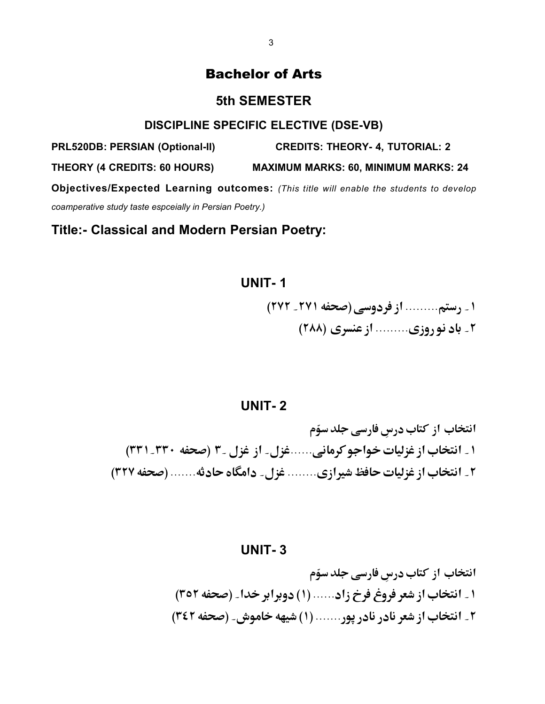# Bachelor of Arts

### **5th SEMESTER**

#### **DISCIPLINE SPECIFIC ELECTIVE (DSE-VB)**

**PRL520DB: PERSIAN (Optional-II) CREDITS: THEORY- 4, TUTORIAL: 2**

**THEORY (4 CREDITS: 60 HOURS) MAXIMUM MARKS: 60, MINIMUM MARKS: 24** 

**Objectives/Expected Learning outcomes:** *(This title will enable the students to develop coamperative study taste espceially in Persian Poetry.)* 

**Title:- Classical and Modern Persian Poetry:**

# **UNIT- 1**

١ \_ رستم......... از فردوسي (صحفه ٢٧١ \_ ٢٧٢) ۲\_ باد نو, وزي......... از عنسري (۲۸۸)

### **UNIT- 2**

انتخاب از کتاب درسِ فارسی جلد سوّم ۱ ـ انتخاب از غزلیات خواجو کرمانی......غزل ـ از غزل ـ ۳ (صحفه ۳۰-۳۳۱) ۲ ـ انتخاب از غزلیات حافظ شیرازی........ غزل ـ دامگاه حادثه....... (صحفه ۳۲۷)

#### **UNIT- 3**

انتخاب از کتاب درسِ فارسی جلد سوّم ۱ \_ انتخاب از شعر فروغ فرخ زاد...... (۱) دوبرابر خدا \_ (صحفه ٣٥٢) ۲\_ انتخاب از شعر نادر نادر یور....... (۱) شیهه خاموش \_ (صحفه ۳٤۲)